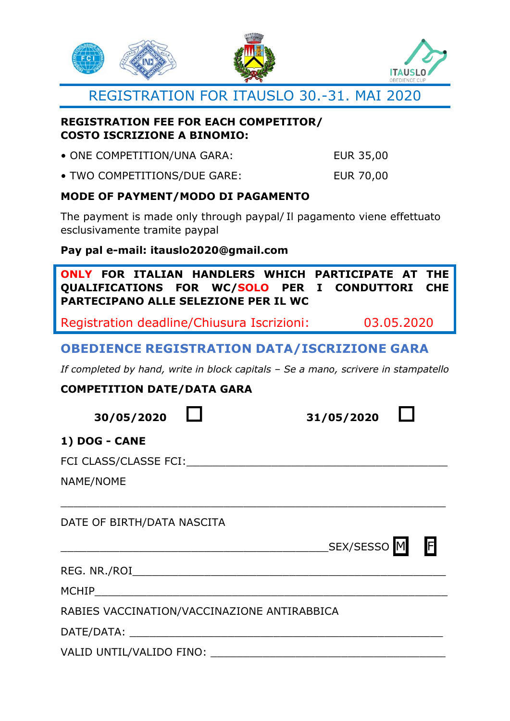

#### **REGISTRATION FEE FOR EACH COMPETITOR/ COSTO ISCRIZIONE A BINOMIO:**

| • ONE COMPETITION/UNA GARA: | EUR 35,00 |
|-----------------------------|-----------|
|                             |           |

**EUR 70,00** • TWO COMPETITIONS/DUE GARE:

### MODE OF PAYMENT/MODO DI PAGAMENTO

The payment is made only through paypal/ Il pagamento viene effettuato esclusivamente tramite paypal

## Pay pal e-mail: itauslo2020@gmail.com

| ONLY FOR ITALIAN HANDLERS WHICH PARTICIPATE AT<br>QUALIFICATIONS FOR WC/SOLO PER I CONDUTTORI<br>PARTECIPANO ALLE SELEZIONE PER IL WC |  |                         | <b>THE</b><br><b>CHE</b> |  |
|---------------------------------------------------------------------------------------------------------------------------------------|--|-------------------------|--------------------------|--|
| Registration deadline/Chiusura Iscrizioni:                                                                                            |  | 03.05.2020              |                          |  |
| <b>OBEDIENCE REGISTRATION DATA/ISCRIZIONE GARA</b>                                                                                    |  |                         |                          |  |
| If completed by hand, write in block capitals - Se a mano, scrivere in stampatello                                                    |  |                         |                          |  |
| <b>COMPETITION DATE/DATA GARA</b>                                                                                                     |  |                         |                          |  |
| 30/05/2020                                                                                                                            |  | 31/05/2020              |                          |  |
| <b>1) DOG - CANE</b>                                                                                                                  |  |                         |                          |  |
| FCI CLASS/CLASSE FCI:                                                                                                                 |  |                         |                          |  |
| NAME/NOME                                                                                                                             |  |                         |                          |  |
| DATE OF BIRTH/DATA NASCITA                                                                                                            |  |                         |                          |  |
|                                                                                                                                       |  | _SEX/SESSO <sup>M</sup> |                          |  |
|                                                                                                                                       |  |                         |                          |  |
|                                                                                                                                       |  |                         |                          |  |
| RABIES VACCINATION/VACCINAZIONE ANTIRABBICA                                                                                           |  |                         |                          |  |
|                                                                                                                                       |  |                         |                          |  |
|                                                                                                                                       |  |                         |                          |  |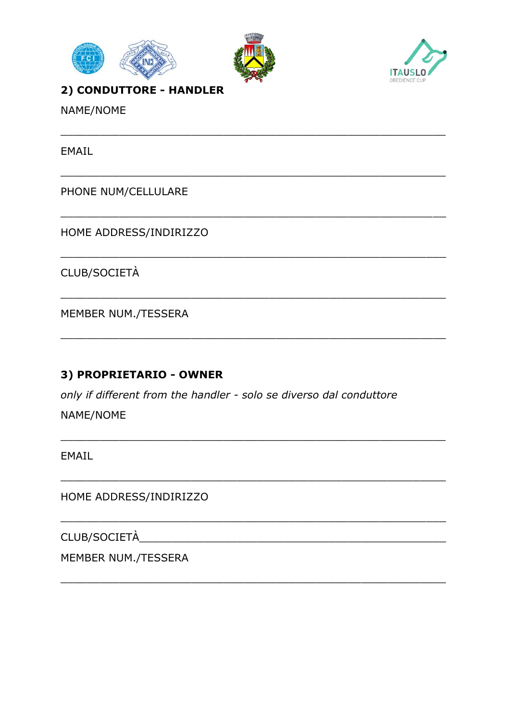





2) CONDUTTORE - HANDLER

NAME/NOME

**EMAIL** 

PHONE NUM/CELLULARE

HOME ADDRESS/INDIRIZZO

CLUB/SOCIETÀ

MEMBER NUM./TESSERA

### 3) PROPRIETARIO - OWNER

only if different from the handler - solo se diverso dal conduttore NAME/NOME

**EMAIL** 

HOME ADDRESS/INDIRIZZO

CLUB/SOCIETÀ

MEMBER NUM./TESSERA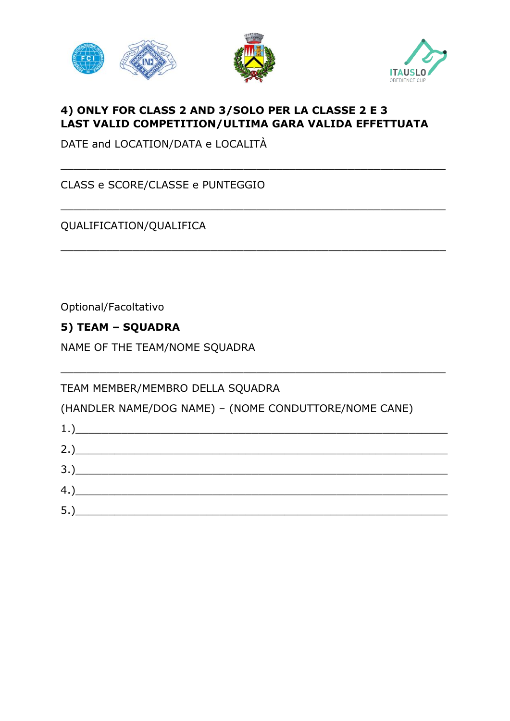





#### **4) ONLY FOR CLASS 2 AND 3/SOLO PER LA CLASSE 2 E 3 LAST VALID COMPETITION/ULTIMA GARA VALIDA EFFETTUATA**

 $\_$  , and the set of the set of the set of the set of the set of the set of the set of the set of the set of the set of the set of the set of the set of the set of the set of the set of the set of the set of the set of th

\_\_\_\_\_\_\_\_\_\_\_\_\_\_\_\_\_\_\_\_\_\_\_\_\_\_\_\_\_\_\_\_\_\_\_\_\_\_\_\_\_\_\_\_\_\_\_\_\_\_\_\_\_\_\_\_\_\_\_

\_\_\_\_\_\_\_\_\_\_\_\_\_\_\_\_\_\_\_\_\_\_\_\_\_\_\_\_\_\_\_\_\_\_\_\_\_\_\_\_\_\_\_\_\_\_\_\_\_\_\_\_\_\_\_\_\_\_\_

DATE and LOCATION/DATA e LOCALITÀ

CLASS e SCORE/CLASSE e PUNTEGGIO

QUALIFICATION/QUALIFICA

Optional/Facoltativo

### **5) TEAM – SQUADRA**

NAME OF THE TEAM/NOME SQUADRA

TEAM MEMBER/MEMBRO DELLA SQUADRA

(HANDLER NAME/DOG NAME) – (NOME CONDUTTORE/NOME CANE)

| $\left(1.\right)$                                  |  |
|----------------------------------------------------|--|
|                                                    |  |
| $\begin{array}{c} \hline \texttt{3.)} \end{array}$ |  |
|                                                    |  |
|                                                    |  |

\_\_\_\_\_\_\_\_\_\_\_\_\_\_\_\_\_\_\_\_\_\_\_\_\_\_\_\_\_\_\_\_\_\_\_\_\_\_\_\_\_\_\_\_\_\_\_\_\_\_\_\_\_\_\_\_\_\_\_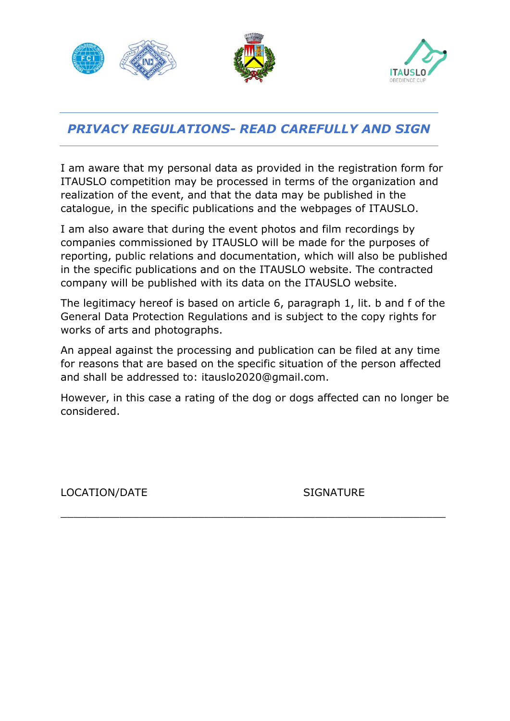





## *PRIVACY REGULATIONS- READ CAREFULLY AND SIGN*

I am aware that my personal data as provided in the registration form for ITAUSLO competition may be processed in terms of the organization and realization of the event, and that the data may be published in the catalogue, in the specific publications and the webpages of ITAUSLO.

I am also aware that during the event photos and film recordings by companies commissioned by ITAUSLO will be made for the purposes of reporting, public relations and documentation, which will also be published in the specific publications and on the ITAUSLO website. The contracted company will be published with its data on the ITAUSLO website.

The legitimacy hereof is based on article 6, paragraph 1, lit. b and f of the General Data Protection Regulations and is subject to the copy rights for works of arts and photographs.

An appeal against the processing and publication can be filed at any time for reasons that are based on the specific situation of the person affected and shall be addressed to: itauslo2020@gmail.com.

However, in this case a rating of the dog or dogs affected can no longer be considered.

\_\_\_\_\_\_\_\_\_\_\_\_\_\_\_\_\_\_\_\_\_\_\_\_\_\_\_\_\_\_\_\_\_\_\_\_\_\_\_\_\_\_\_\_\_\_\_\_\_\_\_\_\_\_\_\_\_\_\_

LOCATION/DATE SIGNATURE